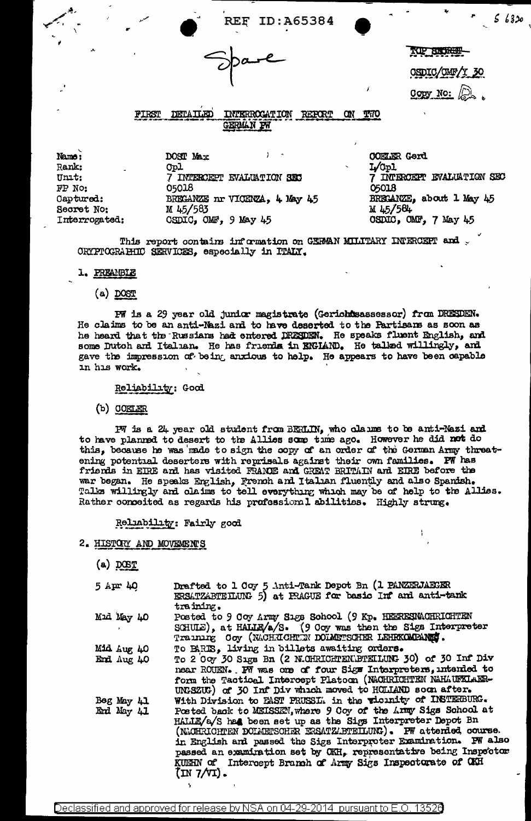ID:A65384

**TOP SIGNALLY** 

OSDIC/OMF/Y 30

 $56320$ 

 $Copy No:  $\sqrt{2}$$ 

FIRST DETAILED INTERROCATION REPORT **CIN TWO** GERMAN PW

Name: Rank: Unit: FP No: Captured: Secret No: Interrogated: DOST Max Opl 7 INTERCEPT EVALUATION SEC 05018 BRECANZE IN VICENZA, 4 May 45 M 45/583 CSDIC, CMF, 9 May 45

**COELER Gerd** L/Cpl 7 INTERCEPT EVALUATION SEC 05018 BREGANZE, about 1 May 45 M 45/584 OSDIC, OMF, 7 May 45

This report contains information on GERMAN MILITARY INFERCEPT and ORTPTOGRAHIIC SERVICES, especially in ITALY.

#### 1. PREAMBLE

 $(a)$  DOST

PW is a 29 year old junior magistrate (Gerichtsassessor) from DRESDEN. He claims to be an anti-Nazi and to have deserted to the Partisans as soon as he heard that the Russians had entered DRESDEN. He speaks fluent English, and some Dutch and Italian. He has friends in ENGIAND. He talked willingly, and gave the impression of being anxious to help. He appears to have been capable in his work.

#### Reliability: Good

 $(b)$  COELER

PW is a 24 year old student from BERLIN, who claums to be anti-Nazi and to have planned to desert to the Allies some time ago. However he did not do this, because he was made to sign the copy of an order of the German Army threatening potential deserters with reprisals against their own families. PW has<br>friends in EIRE and has visited FRANDE and GREAT BRITAIN and EIRE before the<br>war began. He speaks English, French and Italian fluently and also Sp Rather conceited as regards his professional abilities. Highly strung.

#### Reliability: Fairly good

# 2. HISTOLY AND MOVEMENTS

 $(a)$  DCST

| 5 Apr 40                   | Drafted to 1 Coy 5 Anti-Tank Depot Bn (1 PANZERJAEGER<br>ERSATZABTEILUNG 5) at PRAGUE for basic Inf and anti-tank<br>training.                                                                                                                                                                                                                                                                                   |
|----------------------------|------------------------------------------------------------------------------------------------------------------------------------------------------------------------------------------------------------------------------------------------------------------------------------------------------------------------------------------------------------------------------------------------------------------|
| Mid May 40<br>$\mathbf{r}$ | Posted to 9 Ooy Army Sigs School (9 Kp. HEERESMOHRICHTEN<br>SCHULE), at HALLE/a/S. (9 Coy was then the Sigs Interpreter<br>Training Coy (NACHRICHTIN DOLMETSCHER LEHRKOMPANNE.                                                                                                                                                                                                                                   |
| 04 yul AtM                 | To BARIS, living in billets awaiting orders.                                                                                                                                                                                                                                                                                                                                                                     |
| End Aug 40                 | To 2 Coy 30 Sigs Bn (2 N.OHRICHTEN\BTEILUNG 30) of 30 Inf Div<br>near ROUEN. PW was one of four Sigs Interpreters, intended to<br>form the Tactioal Intercept Platoon (NACHRICHTEN NAHLUFKLARR-<br>UNGSZUG) of 30 Inf Div which moved to HOLLAND soon after.                                                                                                                                                     |
| Beg May 41                 | With Division to PAST PRUSSL. in the vicinity of INSTERBURG.                                                                                                                                                                                                                                                                                                                                                     |
| End May 41                 | Posted back to MEISSEN, where 9 Coy of the Army Sigs School at<br>HALLE/a/S has been set up as the Sigs Interpreter Depot Bn<br>(NACHRICHTEN DOLMETSCHR ERSATZ/BTEILUNG). PW attended course.<br>in English and passed the Sigs Interproter Examination. PW also<br>passed an examination set by CKH, representative being Inspector<br>KUMEN of Intercept Branch of Army Sigs Inspectorate of CKH<br>(IN 7/VI). |

Declassified and approved for release by NSA on 04-29-2014 pursuant to E.O. 13526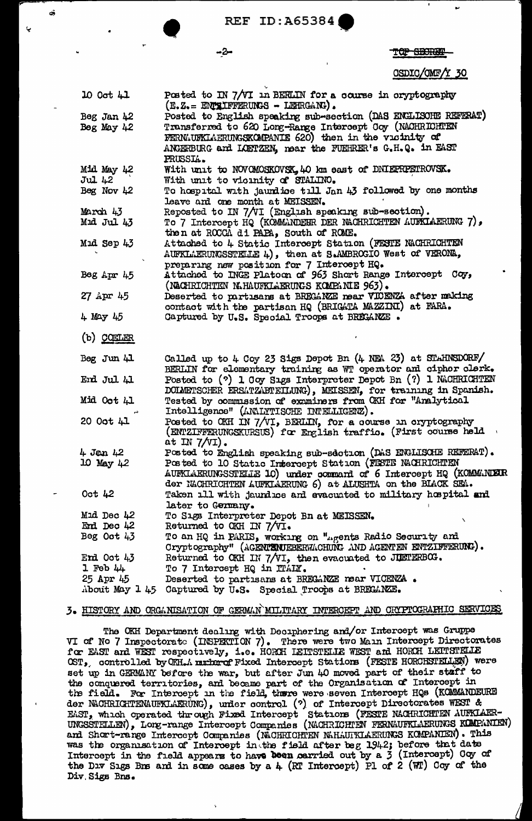-2-

αÎ

<del>-800RA</del>

### OSDIC/OMF/Y 30

| 10 Oct 41    | Posted to IN 7/VI in BERLIN for a course in oryptography<br>$(E, Z_0 = E002$ IFFERUNGS - LETRGANG). |
|--------------|-----------------------------------------------------------------------------------------------------|
| Beg Jan 42   | Posted to English speaking sub-section (DAS ENGLISOHE REFERAT)                                      |
| Beg May $42$ | Transferred to 620 Long-Range Intercept Coy (NACHRICHTEN                                            |
|              | FERMAUFKLAERUNGSKOMPANIE 620) then in the vicinity of                                               |
|              | ANGERBURG and LOETZEN, near the FUEHRER's G.H.Q. in EAST                                            |
|              | PRUSSIA.                                                                                            |
| At YaM AtM   | With unit to NOVOMOSKOVSK, 40 km east of DNIEPRPETROVSK.                                            |
| JuL 42       | With unit to vioinity of STALINO.                                                                   |
| Beg Nov $42$ | To hospital with jaundice till Jan 43 followed by one months                                        |
|              | leave and one month at MEISSEN.                                                                     |
| March 43     | Reposted to IN 7/VI (English speaking sub-section).                                                 |
| Mid Jul 43   | To 7 Intercept HQ (KOMMANDEER DER NACHRICHTEN AUFKIAERUNG 7),                                       |
|              |                                                                                                     |
|              | then at ROCCA di PAPA, South of ROME.<br>Attached to 4 Static Intercept Station (FESTE NACHRICHTEN  |
| Mid Sep 43   |                                                                                                     |
|              | AUFKLAERUNGSSTELLE 4), then at S.AMBROGIO West of VERONA,                                           |
|              | preparing new position for 7 Intercept HQ.                                                          |
| Beg $Apr 45$ | Attached to INGE Platoon of 963 Short Range Intercept Coy,                                          |
|              | (NACHRICHTEN N.HAUFKLAERUNGS KOMPANIE 963).                                                         |
| 27 Apr 45    | Deserted to partisans at BREGANZE near VIOENZA after making                                         |
|              | contact with the partisan HQ (BRIGATA MAZZINI) at FARA.                                             |
| 4 Мау 45     | Captured by U.S. Special Troops at BRECANZE.                                                        |
|              |                                                                                                     |
| $(b)$ CONLER |                                                                                                     |
| Beg Jun 41   | Called up to 4 Coy 23 Sigs Depot Bn (4 NEA 23) at STAHNSDORF/                                       |
|              | BERLIN for elementary training as WT operator and cipher clerk.                                     |
| End Jul 41   | Posted to (?) 1 Coy Sigs Interpreter Depot Bn (?) 1 NACHRICHTEN                                     |
|              | DOIMETSCHER ERSATZABTEILUNG), MEISSEN, for training in Spanish.                                     |
| Mid Oot 41   | Tested by commussion of examiners from OKH for "Analytical                                          |
|              | Intelligence" (ANIYTISCHE INTELIGENZ).                                                              |
| 20 Oot 41    | Posted to OKH IN 7/VI, BERLIN, for a course in oryptography                                         |
|              | (ENTZIFFERUNGSKURSUS) for English traffic. (First course held                                       |
|              | at IN $7/\sqrt{1}$ .                                                                                |
| 4 Jan 42     | Posted to English speaking sub-section (DAS ENGLISCHE REFERAT).                                     |
| 10 May 42    | Posted to 10 Static Intercept Station (FISTE NACHRICHTEN                                            |
|              | AUFKLAERUNGSSTELLE 10) under command of 6 Intercept HQ (KOMMANDER                                   |
|              | der NACHRICHTEN AUFKLAERUNG 6) at ALUSHTA on the BIACK SEA.                                         |
| Oct $42$     | Taken ill with jaundice and evacuated to military hospital and                                      |
|              | later to Germany.                                                                                   |
| Mid Dec 42   | To Sigs Interpreter Depot Bn at MEISSEN.                                                            |
| End Dec 42   | Returned to OKH IN 7/VI.                                                                            |
| Beg Oct $43$ | To an HQ in PARIS, working on "agents Radio Security and                                            |
|              | Cryptography" (AGENTENTEBERWACHUNG AND AGENTEN ENTZIFFERUNG).                                       |
| End Oot 43   | Returned to OKH IN 7/VI, then evacuated to JUETERBOG.                                               |
| $1$ Feb $44$ | To 7 Intercept HQ in ITALY.                                                                         |
| 25 Apr 45    | Deserted to partisans at BRECANZE near VICENZA.                                                     |
|              | About May 1 45 Captured by U.S. Special Troops at BREGANZE.                                         |
|              |                                                                                                     |

### 3. HISTORY AND ORGANISATION OF GERMAN MILITARY INTERGEPT AND CRYPTOGRAPHIC SERVICES

The OKH Department dealing with Deciphering and/or Intercept was Gruppe VI of No 7 Inspectorate (INSPEKTION 7). There were two Main Intercept Directorates for EAST and WEST respectively, i.e. HORCH LEITSTELLE WEST and HORCH LEITSTELLE OST, controlled by OKH.A mucharef Fixed Intercept Stations (FESTE HORCHSTELLEN) were set up in GERMANY before the war, but after Jun 40 moved part of their staff to the conquered territories, and became part of the Organisation of Intercept in the field. For Intercept in the field, there were seven Intercept HQs (KOMMANDEURE der NACHRICHTENAUFKLAERUNG), under control (?) of Intercept Directorates WEST & EAST, which operated through Fixed Intercept Stations (FESTE NACHRICHTEN AUFKLAER-UNGSSTELLEN), Long-range Intercept Companies (NACHRICHTEN FERNAUFKLAERUNGS KOMPANIEN) and Short-range Intercept Companies (NACHRICHTEN NAHAUTKLAERUNGS KOMPANIEN). This was the organisation of Intercept in the field after beg 1942; before that date Intercept in the field appears to have been carried out by a 3 (Intercept) Ocy of the DIV Sigs Bns and in some cases by a 4 (RT Intercept) Pl of 2 (WT) Coy of the Div Sigs Bns.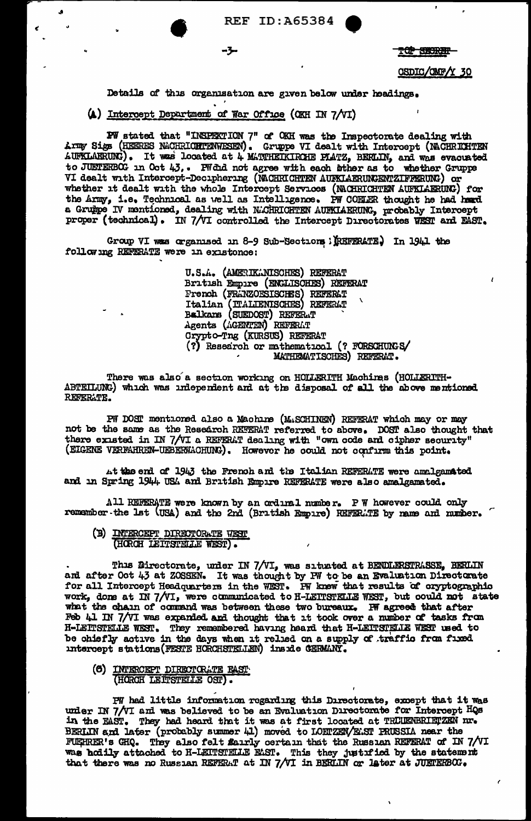**TOP SECRET** 

CSDIC/OMF/Y 30

Details of this organisation are given below under headings.

(A) Intercept Department of War Office (OKH IN 7/VI)

-3-

EW stated that "INSPEKTION 7" of OKH was the Inspectorate dealing with Army Sigs (HEERES NACHRICHTENWESEN). Gruppe VI dealt with Intercept (NACHRICHTEN AUFKLAERUNG). It was located at 4 MATTHETKIRCHE PLATZ, BERLIN, and was evacuated to JUETERBOG in Oct 43.. FW did not agree with each inther as to whether Gruppe VI dealt with Intercept-Deciphering (MCHRICHTEN AUFKIAERUNGENTZIFFERUNG) or whether it dealt with the whole Intercept Services (NACHRICHTEN AUFKLAERUNG) for the Army, i.e. Technical as well as Intelligence. PW COELER thought he had head a Gruppe IV mentioned, dealing with N.GHRICHTEN AURKIAERUNG, probably Intercept proper (technical). IN 7/VI controlled the Intercept Directorates WEST and EAST.

Group VI was organised in 8-9 Sub-Sections : (REFERATE) In 1941 the following REFERATE were in existence:

> U.S.A. (AMERIKANISCHES) REFERAT British Empire (ENGLISCHES) REFERAT French (FRANZOESISCHES) REFERAT<br>Italian (TALIENISCHES) REFERAT<br>Balkans (SUEDOST) REFERAT Agents (AGENTEN) REFERAT Crypto-Tng (KURSUS) REFERAT (?) Research or mathematical (? FORSCHUNGS/ MATHEMATISCHES) REFERAT.

There was also a section working on HOLLERITH Machines (HOLLERITH-ABTEILUNG) which was independent and at the disposal of all the above mentioned. REFERATE.

PW DOST mentioned also a Machine (MASCHINEN) REFERAT which may or may not be the same as the Research REFERAT referred to above. DOST also thought that there existed in IN 7/VI a REFERAT dealing with "own code and cipher security" (EIGENE VERFAHREN-UEBERWACHUNG). However he could not confirm this point.

At the end of 1943 the French and the Italian REFERATE were amalgamated and in Spring 1944 USA and British Empire REFERATE were also amalgamated.

All REFERATE were known by an ordinal number. PW however could only remember the lat (USA) and the 2nd (British Empire) REFERLTE by name and number.

(B) INTERCEPT DIRECTORATE WEST (HORCH LEITSTELLE WEST).

This Directorate, under IN 7/VI, was situated at BENDLERSTRASSE, BERLIN and after Oct 43 at ZOSSEN. It was thought by PW to be an Evaluation Directorate for all Intercept Headquarters in the WEST. PW knew that results of c work, done at IN 7/VI, were communicated to H-LEITSTELLE WEST, but could not state what the chain of command was between these two bureaux. IW agreed that after Feb 41 IN 7/VI was expanded and thought that it took over a number of tasks from H-LEITSTELLE WEST. They remembered having heard that H-LEITSTELLE WEST used to be chiefly active in the days when it relied on a supply of traffic from fixed intercept stations (FESTE HORCHSTELLEN) inside CERMANY.

(6) INTERCEPT DIRECTORATE FAST (HORCH LEITSTELLE OST).

PW had little information regarding this Directorate, except that it was under IN 7/VI and was believed to be an Evaluation Directorate for Intercept HQs in the EAST. They had heard that it was at first located at TRUENBRIETZEN nr. BERLIN and later (probably summer 41) moved to LOETZEN/ELST PRUSSIA near the FUEHRER's GHQ. They also felt fairly certain that the Russian REFERAT of IN 7/VI was hoily attached to H-LEITSTELLE EAST. This they justified by the statement that there was no Russian REFERAT at IN 7/VI in BERLIN or later at JUETERBOG.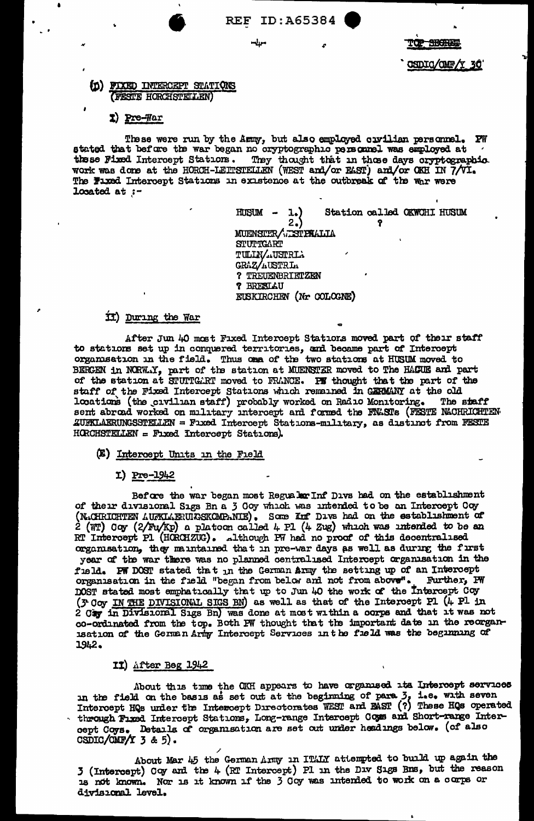SHOPE

CSDIO/OMF/Y 30

## (D) FIXED INTERCEPT STATIONS (FESTE HORCHSTELLEN)

## 1) Pre-War

These were run by the Army, but also employed ouvilian personnel. PW stated that before the war began no cryptographic personnel was employed at these Fixed Intercept Stations. They thought that in those days oryptographic work was done at the HORCH-LEITSTELLEN (WEST and/or EAST) and/or OKH IN 7/VI. The Fluxed Intercept Stations in existence at the outbreak of the war were Located at  $:-$ 

> Station called OKWCHI HUSUM HUSUM - $1.)$  $2.)$  $\bullet$ MUENSTER/ ESTPHALIA **STUTTGART** TULIN/ USTRIA GRAZ/AUSTRIA ? TREUENBRIETZEN **? BRESLAU** EUSKIRCHEN (Nr COLOGNE)

### ii) During the War

After Jun 40 most Fixed Intercept Stations moved part of their staff to stations set up in conquered territories, and became part of Intercept organisation in the field. Thus one of the two stations at HUSUM moved to BERGEN in NORWAY, part of the station at MUENSTER moved to The HAGUE and part of the station at STUTTGART moved to FRANCE. PF thought that the part of the staff of the Fixed Intercept Stations which remained in GERMANY at the old locations (the civilian staff) probably worked on Radio Monitoring. The staff sent abroad worked on military intercept and formed the FNASTs (FESTE NACHRICHTEN ZUFKLAERUNGSSTELLEN = Faxed Intercept Stations-military, as distinct from FESTE HORCHSTELLEN = Fixed Intercept Stations).

#### (E) Intercept Units in the Field

### $I)$  Pre-1942

Before the war began most Regualor Inf Divs had on the establishment of their divisional Sigs Bn a 3 Goy which was intended to be an Intercept Coy (N.CHRICHTEN AUFKLAERULGSKOMPANIE). Some Inf Davs had on the establishment of  $2$  (WT) Coy (2/Fu/Kp) a platoon called 4 Pl (4 Zug) which was intended to be an RT Intercept P1 (HCRCHZUG). Although P7 had no proof of this decentralised organisation, they maintained that in pre-war days as well as during the first year of the war there was no planned centralised Intercept organisation in the field. PW DOST stated that in the German Army the setting up of an Intercept organisation in the field "began from below and not from above". Further, PW DOST stated most emphatically that up to Jun 40 the work of the Intercept Coy (3 Coy IN THE DIVISIONAL SIGS BN) as well as that of the Intercept P1 (4 P1 in 2 Cay in Divisional Sigs Bn) was done at most within a corps and that it was not co-ordinated from the top. Both PW thought that the important date in the reorganisation of the German Army Intercept Services in the field was the beginning of 1942.

### II) After Beg 1942

About this time the OKH appears to have organised its Intercept services in the field on the basis as set out at the beginning of para 3, i.e. with seven Intercept HQs under the Intercept Directorates WEST and BAST (?) These HQs operated through Fixed Intercept Stations, Long-range Intercept Cous and Short-range Intercept Coys. Detanla of organisation are set out under headings below. (of also  $CSDIC/OMF/Y$  3 & 5).

About Mar 45 the German Army in ITALY attempted to build up again the 3 (Intercept) Coy and the 4 (RT Intercept) Pl in the Div Sigs Bns, but the reason is not known. Nor is it known if the 3 Coy was intended to work on a corps or divisional level.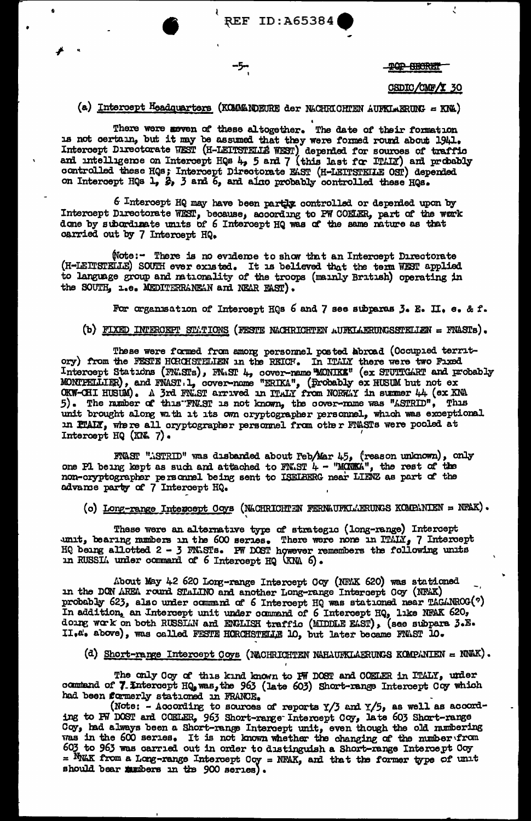**TOP SHORE!** 

#### CSDIC/CMF/Y 30

t.

## (a) Intercept Headquarters (KOMMANDEURE der NACHRICHTEN AUFKLAERUNG = KNA)

-5-

There were meven of these altogether. The date of their formation 15 not certain, but it may be assumed that they were formed round about 1941.<br>Intercept Directorate WEST (H-LEITSTELLE WEST) depended for sources of traffic<br>and intelligence on Intercept HQs 4, 5 and 7 (this last for ITALY

6 Intercept HQ may have been partly controlled or depended upon by Intercept Directorate WEST, because, according to PW COELER, part of the werk done by subordinate units of 6 Intercept HQ was of the same nature as that carried out by 7 Intercept HQ.

(Note:- There is no evidence to show that an Intercept Directorate (H-LEITSTELLE) SOUTH ever existed. It is believed that the term WEST applied to language group and nationality of the troops (mainly British) operating in the SOUTH, 1.e. MEDITERRANEAN and NEAR FAST).

For organisation of Intercept HQs 6 and 7 see subparas 3. E. II. e. & f.

### (b) FIXED INTERCEPT STATIONS (FESTE NACHRICHTEN AUFKLAERUNGSSTELLEN = FNASTS).

These were formed from among personnel posted abroad (Occupied territory) from the FESTE HCRCHSTELLEN in the REICH. In ITALY there were two Fixed<br>Intercept Stations (FNASTs), FNAST 4, cover-name MONIK&" (ex STUTTCART and probably<br>MONIFELLIER), and FNAST 1, cover-name "ERIKA", (probably ex H unit brought along with it its own oryptographer personnel, which was exceptional in FTAIX, where all oryptographer personnel from other FTASTs were pooled at Intercept HQ (KN. 7).

FNAST "NSTRID" was disbanded about Feb/Mar 45, (reason unknown), only one Pl being kept as such and attached to FN.ST  $4$  - "MONKA", the rest of the non-cryptographer personnel being sent to ISELBERG near LIENZ as part of the advance party of 7 Intercept HQ.

(c) Long-range Intercept Coys (NACHRICHTEN FERNAUFKLAERUNGS KOMPANIEN = NFAK).

These were an alternative type of strategic (long-range) Intercept unit, bearing numbers in the 600 series. There were none in ITALY, 7 Intercept HQ being allotted  $2 - 3$  FNLSTs. PW DOST however remembers the following units in RUSSI. under command of 6 Intercept HQ (KNA 6).

About May 42 620 Long-range Intercept Coy (NFAK 620) was stationed in the DON AREA round STALINO and another Long-range Intercept Coy (NFAK) probably 623, also under command of 6 Intercept HQ was stationed near TAGANROG(?) In addition, an Intercept unit under command of 6 Intercept HQ, like NFAK 620, doing work on both RUSSIAN and ENGLISH traffic (MIDDLE EAST), (see subpara 3.E.<br>II.e's above), was called FESTE HORCHSTELLE 10, but later becam

(d) Short-range Intercept Coys (NACHRICHTEN NAHAURKLAERUNGS KOMPANIEN = NNAK).

The only Coy of this kind known to PW DOST and COELER in ITALY, under command of 7. Intercept HQ, was, the 963 (late 603) Short-range Intercept Coy which had been formerly stationed in FRANCE.

(Note: - According to sources of reports  $Y/3$  and  $Y/5$ , as well as according to PW DOST and COELER, 963 Short-range Intercept Coy, late 603 Short-range Coy, had always been a Short-range Intercept unit, even though the old numbering<br>was in the 600 series. It is not known whether the changing of the number from 603 to 963 was carried out in order to distinguish a Short-range Intercept Coy = NMAK from a Long-range Intercept Coy = NFAK, and that the former type of unit should bear mumbers in the 900 series).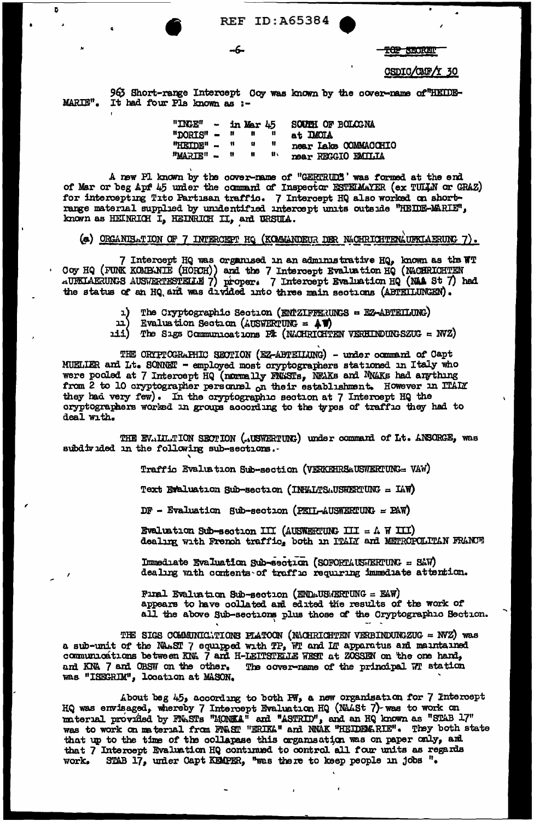B

**TOP SHORES** 

#### CSDIC/CMF/Y 30

963 Short-range Intercept Coy was known by the cover-name of "HEIDE-MARIE". It had four Pls known as :-

-6-

"INGE" - in Mar  $45$ SOUTH OF BOLOGNA  $"DORTS" - " "$  $\mathbf{u}$ at IMOIA "HEIDE" ~ "  $\mathbf{H}$  $\mathbf{r}$ near Lake COMMACCHIO  $\pmb{v}$  $\mathbf{u}$  $\mathbf{u}$  $"$ MARIE" ~ near REGGIO EMILIA

A new Pl known by the cover-name of "GERTRUD" was formed at the end<br>of Mar or beg Apf 45 under the command of Inspector ESTEMAYER (ex TULLA or GRAZ) for intercepting Tito Partisan traffic. 7 Intercept HQ also worked on short-<br>range material supplied by unidentified intercept units outside "HEIDE-MARIE",<br>known as HEINRICH I, HEINRICH II, and URSUIA.

### (e) ORGANISATION OF 7 INTERCEPT HQ (KOMMANDEUR DER NACHRICHTENAUFKLAERUNG 7).

7 Intercept HQ was organised in an administrative HQ, known as the WT Coy HQ (FUNK KOMBANIE (HORCH)) and the 7 Intercept Evaluation HQ (NACHRICHTEN AUPKLAERUNGS AUSWERTESTELLE 7) proper. 7 Intercept Evaluation HQ (NAA St 7) had the status of an HQ and was divided into three main sections (ABTEILUNGEN).

- The Cryptographic Section (ENTZIFFERUNGS = EZ-ABTEILUNG) 1)
- ( בב Evaluation Section (AUSWERTUNG =  $\angle$  )
- 111) The Sigs Communications PT (NACHRICHTEN VERHINDUNG SZUG =  $WZ$ )

THE CRIPTOGRAPHIC SECTION (EZ-ABTEILUNG) - under command of Capt MUELLER and Lt. SONNET - employed most oryptographers stationed in Italy who were pooled at 7 Intercept HQ (normally FNLSTs, NEAKs and NNAKs had anything from 2 to 10 cryptographer personnel on their establishment. However in ITALY they had very few). In the cryptographic section at 7 Intercept HQ the cryptographers worked in groups according to the types of traffic they had to deal with.

THE EVALUATION SECTION (AUSWERTUNG) under command of Lt. ANSORGE, was subdivided in the following sub-sections.

Traffic Evaluation Sub-section (VERKEHRSAUSWERTUNG= VAW)

Text Evaluation Sub-section (INHALTSAUSWERTUNG = IAW)

 $DF - Evaluation$  Sub-section (PEIL-AUSWERTUNG = PAW)

Evaluation Sub-section III (AUSWERTUNG III =  $\Lambda$  W III) dealing with French traffic, both in ITAIX and METROPOLITAN FRANCE

Immediate Evaluation Sub-section (SOFORTAUSWERTUNG = SAW) dealing with contents of traffic requiring immediate attention.

Final Evaluation Sub-section (ENDAUSAERTUNG = EAW) appears to have collated and eduted the results of the work of all the above Sub-sections plus those of the Cryptographic Section.

THE SIGS COMMUNICATIONS PLATOON (NACHRICHTEN VERBINDUNGZUG = NVZ) was<br>a sub-unit of the NAAST 7 equipped with TP, WT and IIT apparatus and maintained<br>communications between KNA 7 and H-LEITSTELLE WEST at ZOSSEN on the one and KNA 7 and OBSW on the other. The cover-name of the principal WT station was "ISEGRIM", location at MASON.

About beg 45, according to both PW, a new organisation for 7 Intercept HQ was envisaged, whereby 7 Intercept Evaluation HQ (NAASt 7) was to work on material provided by FNASTs "MONKA" and "ASTRID", and an HQ known as "STAB 17" was to work on material from FNAST "ERIKA" and NNAK "HEIDEMARIE". They both state that up to the time of the collapase this organisation was on paper only, and that 7 Intercept Evaluation HQ continued to control all four units as regards STAB 17, under Capt KEMPER, "was there to keep people in jobs ". **WOrk,**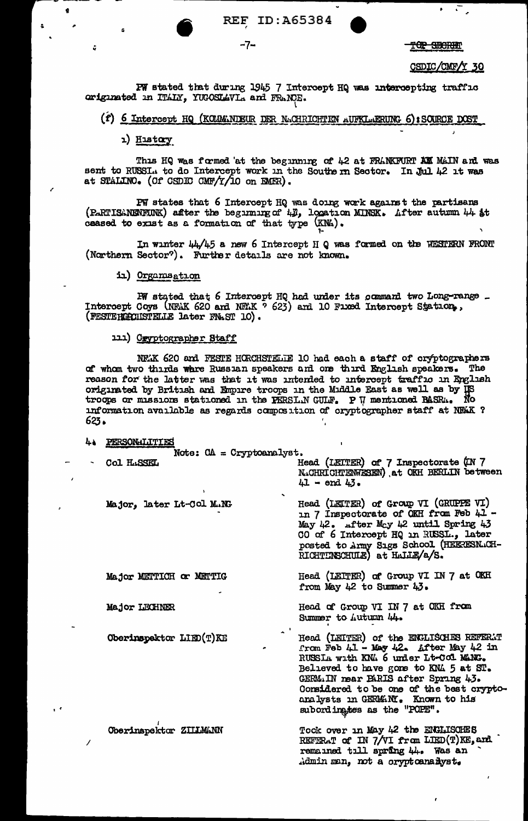ID:A65384 **REF** 

-7-

TOP SEGRET

CSDIC/CMF/Y 30

PW stated that during 1945 7 Intercept HQ was intercepting traffic originated in ITALY, YUGOSLAVIA and FRANCE.

### (f) 6 Intercept HQ (KOLMANDEUR DER NACHRICHTEN AUFKLAERUNG 6): SOURCE DOST

1) History

 $\mathbf{r}$ 

This HQ was formed at the beginning of 42 at FRANKFURT AM MAIN and was sent to RUSSI. to do Intercept work in the Southern Sector. In Jul 42 it was at STALINO. (Of CSDIC CMF/Y/10 on EMER).

PW states that 6 Intercept HQ was doing work against the partisans (PARTISANENFUNK) after the beginning of 42, location MINSK. After autumn 44 at ceased to exist as a formation of that type (KNA).

In winter  $44\sqrt{45}$  a new 6 Intercept H Q was formed on the WESTERN FRONT (Northern Sector?). Further details are not known.

in) Organisation

PW stated that 6 Intercept HQ had under its command two Long-range \_ Intercept Coys (NFAK 620 and NFAK ? 623) and 10 Fixed Intercept Station, (FESTERCHISTELLE later FNAST 10).

111) Oryptographer Staff

NEX 620 and FESTE HORCHSTELTE 10 had each a staff of cryptographers of whom two thirds whre Russian speakers and one third English speakers. The reason for the latter was that it was intented to microsoft with the by US originated by British and Empire troops in the Middle East as well as by US reason for the latter was that it was intended to intercept traffic in English troops or missions stationed in the FERSL.N GULF. P W mentioned BASR... information available as regards composition of cryptographer staff at NEAK ? 623.

4. PERSONALITIES Note:  $CA = Cryptoanalyst.$ Head (LEITER) of 7 Inspectorate (IN 7 Col HASSEL N.CHRICHTENWESEN) at OKH BERLIN between  $41 - end 43$ . Head (LEITER) of Group VI (GRUPPE VI) Major, later Lt-Col M.NG in 7 Inspectorate of OKH from Feb 41 -May 42. After May 42 until Spring 43 CO of 6 Intercept HQ in RUSSL., later posted to Army Sigs School (HEERESNACH-RICHTINSCHULE) at HALLE/2/S. Head (LEITER) of Group VI IN 7 at OKH Major METTICH or METTIG from May 42 to Summer 43. Major LECHNER Head of Group VI IN 7 at OKH from Summer to Autumn 44. Head (LEITER) of the ENGLISCHES REFERAT Oberinspektor LIED(T)KE from Feb  $41 -$  May  $42$ . After May  $42$  in RUSSIA with KNA 6 under Lt-Col MANG. Believed to have gone to KNA 5 at ST. GERMIN mear BARIS after Spring 43. Considered to be one of the best cryptoanalysts in GERMANY. Known to his<br>subordingtes as the "POFE". Took over in May 42 the ENGLISCHES Oberinspektor ZIIIMANN REFERAT of IN 7/VI from LIED(T)KE, and remained till spring 44. Was an Admin man, not a cryptoanailyst.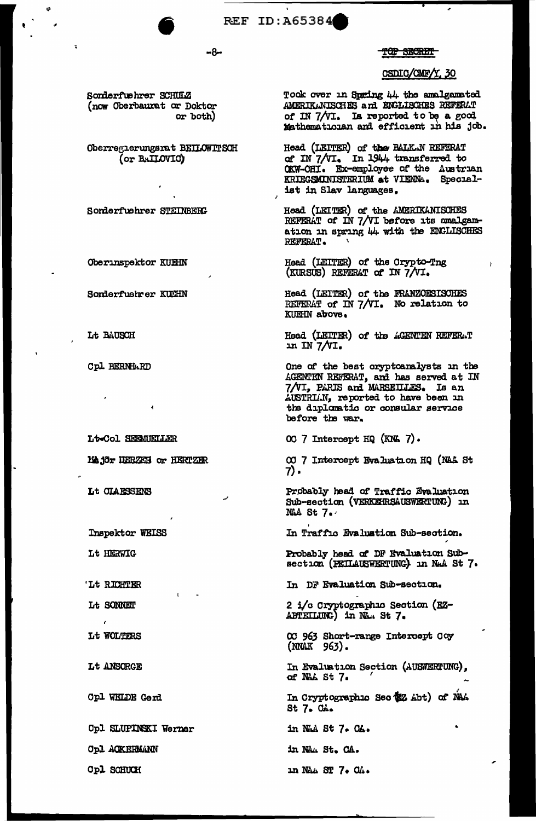

#### TOP SECRET

### CSDIC/CMF/Y, 30

Sonderfuehrer SCHULZ (now Oberbaurat or Doktor or both)

Oberreglerungsrat BEILOWITSCH (or BAILOVIC)

Sonderfuehrer STEINBERG

**Oberinspektor KUEHN** 

Sonderfuehrer KUCHN

Lt BAUSCH

**Cpl BERNHARD** 

Lt-Col SEEMUELLER

Major HERZEN or HERTZER

Lt CLAESSENS

Inspektor WEISS

Lt HERWIG

'Lt RICHTER

Lt SONNET

 $\epsilon$ 

Lt WOLTERS

Lt ANSORGE

Cpl WELDE Gerd

Opl SLUPINSKI Werner

**Cpl ACKERMANN** 

Opl SCHUCH

Took over in Spring 44 the amalgamated AMERIKANISCHES and ENGLISCHES REFERAT of IN 7/VI. Is reported to be a good Mathematician and efficient in his job.

Head (LEITER) of the BALKAN REFERAT<br>of IN 7/VI. In 1944 transferred to OKW-CHI. Ex-employee of the Austrian<br>KRIEGSMINISTERIUM at VIEWA. Specialist in Slav languages.

Head (LEITER) of the AMERIKANISCHES REFERAT of IN 7/VI before its amalgamation in spring 44 with the ENGLISCHES REFERAT.

Head (LEITER) of the Crypto-Tng (KURSUS) REFERAT of IN 7/VI.

Head (LEITER) of the FRANZOESISCHES REFERAT of IN 7/VI. No relation to KUEHN above.

Head (LEITER) of the ACENTEN REFERAT in IN  $7/VI$ .

One of the best oryptoanalysts in the AGENTEN REFERAT, and has served at IN 7/VI, PARIS and MARSEILLES. Is an AUSTRIAN, reported to have been in the diplomatic or consular service before the war.

OC 7 Intercept HQ (KNL 7).

00 7 Intercept Evaluation HQ (NAA St 7).

Probably head of Traffic Evaluation Sub-section (VERKEHRSAUSWERTUNG) In NAA St 7.

In Traffic Evaluation Sub-section.

Probably head of DF Evaluation Sub-<br>section (PEILAUSWERTUNG) in NaA St 7.

In DF Evaluation Sub-section.

2 i/c Cryptographic Section (EZ-ABTEILUNG) in NA. St 7.

00 963 Short-range Intercept Coy (NNAK 963).

In Evaluation Section (AUSWERTUNG), of NAL St 7.

In Cryptographic Sec (EZ Abt) of NAA St 7. CA.

in NAA St 7. CA.

in NA. St. CA.

in NAA ST 7. CA.

-8-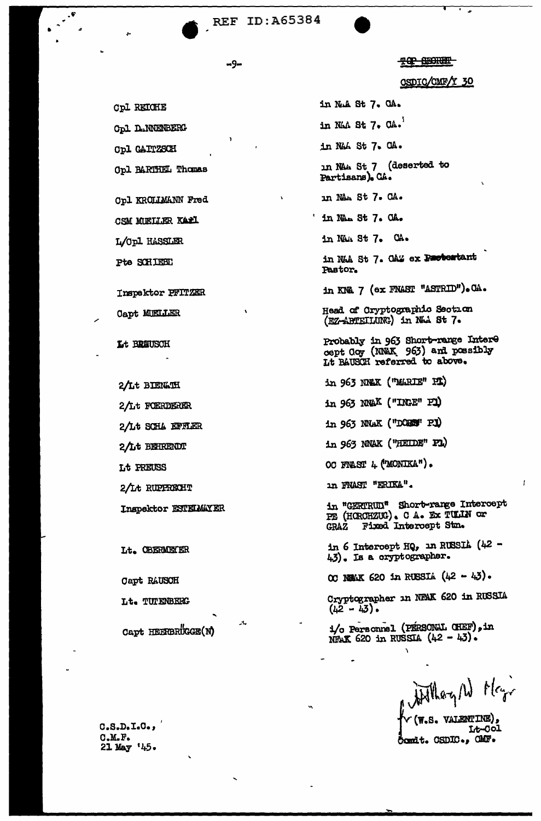-9-

TOP BECKER

CSDIC/CMF/Y 30

in NuA St 7. CA. in NAA St 7. CA. in NAA St 7. CA. in NAA St<sub>.</sub>7 (deserted to Partisans). CA. in NAh St 7. CA. ' in NAn St 7. CA. in NAA St 7. CA. in NAA St 7. OAZ ex Protestant Pastor. in KNA 7 (ex FNAST "ASTRID"). CA. Head of Cryptographic Section (EZ-ABTEILUNG) in NAA St 7. Probably in 963 Short-range Intere<br>cept Coy (NNAK 963) and possibly Lt BAUSCH referred to above. in 963 NNAK ("MARIE" PI) in 963 NWAX ("INGE" PI) in 963 NNAK ("DOBS" P.1) in 963 NNAK ("HEIDE" PL) OC FRAST 4 ('MONIKA"). in FNAST "ERIKA". in "GERTRUN" Short-range Intercept PE (HOROHZUG). C A. Ex TULIN or GRAZ Fixed Intercept Stm. in 6 Intercept HQ, in RUSSIA (42 -43). Is a cryptographer. OC NEWK 620 in RUSSIA (42 - 43). Cryptographer in NFAK 620 in RUSSIA  $(42 - 43)$ . 1/o Personnel (PERSONAL CHEF), in NEAK 620 in RUSSIA  $(42 - 43)$ .

William W May **W.S. VALENTINE),** Lt-Col Comit. CSDIC., CMF.

**Cpl D.NNENBERG** 

**Cpl REIGHE** 

**Cpl GAITZSCH** 

Opl BARTHEL Thomas

Opl KROLLMANN Fred

CSM MUELLER KARL

L/Opl HASSLER

Pte SCHIEBE

Inspektor PFITZER

**Capt MELLER** 

Lt BRAUSCH

2/Lt BIENLIH 2/Lt FOERDERER 2/Lt SCHA EFFLER 2/Lt BEHRENDT Lt PREUSS 2/Lt RUPPRECHT Inspektor ESTEIMAYER

Lt. OBERMETER

Capt RAUSCH

Lt. TUTENBERG

Capt HEERBRUGGE(N)

 $C.S.D. I.C.$  $C.M.F.$ 21 May '45.